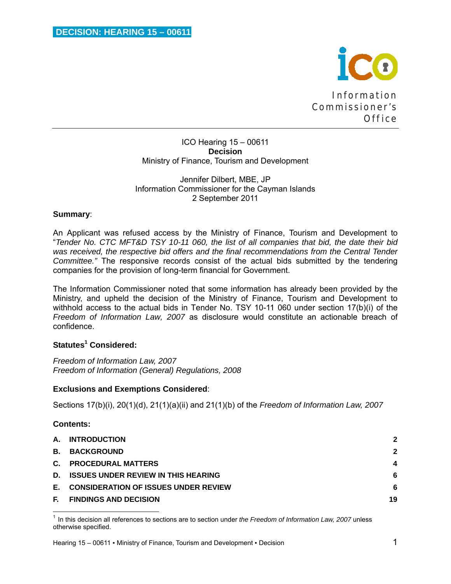

ICO Hearing 15 – 00611 **Decision**  Ministry of Finance, Tourism and Development

Jennifer Dilbert, MBE, JP Information Commissioner for the Cayman Islands 2 September 2011

# **Summary**:

An Applicant was refused access by the Ministry of Finance, Tourism and Development to "*Tender No. CTC MFT&D TSY 10-11 060, the list of all companies that bid, the date their bid*  was received, the respective bid offers and the final recommendations from the Central Tender *Committee."* The responsive records consist of the actual bids submitted by the tendering companies for the provision of long-term financial for Government.

The Information Commissioner noted that some information has already been provided by the Ministry, and upheld the decision of the Ministry of Finance, Tourism and Development to withhold access to the actual bids in Tender No. TSY 10-11 060 under section 17(b)(i) of the *Freedom of Information Law, 2007* as disclosure would constitute an actionable breach of confidence.

# **Statutes<sup>1</sup> Considered:**

<u> 1980 - Andrea Andrew Maria (h. 1980).</u><br>1980 - Andrew Maria (h. 1980).

*Freedom of Information Law, 2007 Freedom of Information (General) Regulations, 2008* 

# **Exclusions and Exemptions Considered**:

Sections 17(b)(i), 20(1)(d), 21(1)(a)(ii) and 21(1)(b) of the *Freedom of Information Law, 2007*

# **Contents:**

|     | A. INTRODUCTION                             | $\mathbf{2}$ |
|-----|---------------------------------------------|--------------|
| B.  | <b>BACKGROUND</b>                           | $\mathbf{2}$ |
|     | C. PROCEDURAL MATTERS                       | 4            |
| D.  | <b>ISSUES UNDER REVIEW IN THIS HEARING</b>  | 6            |
| E., | <b>CONSIDERATION OF ISSUES UNDER REVIEW</b> | 6            |
| Е.  | <b>FINDINGS AND DECISION</b>                | 19           |

<sup>1</sup> In this decision all references to sections are to section under *the Freedom of Information Law, 2007* unless otherwise specified.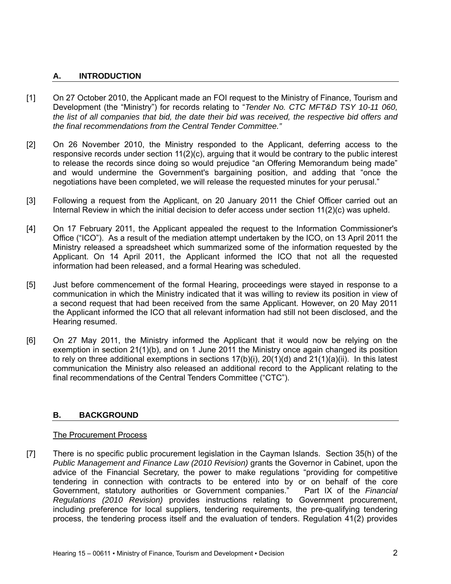# **A. INTRODUCTION**

- [1] On 27 October 2010, the Applicant made an FOI request to the Ministry of Finance, Tourism and Development (the "Ministry") for records relating to "*Tender No. CTC MFT&D TSY 10-11 060, the list of all companies that bid, the date their bid was received, the respective bid offers and the final recommendations from the Central Tender Committee."*
- [2] On 26 November 2010, the Ministry responded to the Applicant, deferring access to the responsive records under section 11(2)(c), arguing that it would be contrary to the public interest to release the records since doing so would prejudice "an Offering Memorandum being made" and would undermine the Government's bargaining position, and adding that "once the negotiations have been completed, we will release the requested minutes for your perusal."
- [3] Following a request from the Applicant, on 20 January 2011 the Chief Officer carried out an Internal Review in which the initial decision to defer access under section 11(2)(c) was upheld.
- [4] On 17 February 2011, the Applicant appealed the request to the Information Commissioner's Office ("ICO"). As a result of the mediation attempt undertaken by the ICO, on 13 April 2011 the Ministry released a spreadsheet which summarized some of the information requested by the Applicant. On 14 April 2011, the Applicant informed the ICO that not all the requested information had been released, and a formal Hearing was scheduled.
- [5] Just before commencement of the formal Hearing, proceedings were stayed in response to a communication in which the Ministry indicated that it was willing to review its position in view of a second request that had been received from the same Applicant. However, on 20 May 2011 the Applicant informed the ICO that all relevant information had still not been disclosed, and the Hearing resumed.
- [6] On 27 May 2011, the Ministry informed the Applicant that it would now be relying on the exemption in section 21(1)(b), and on 1 June 2011 the Ministry once again changed its position to rely on three additional exemptions in sections  $17(b)(i)$ ,  $20(1)(d)$  and  $21(1)(a)(ii)$ . In this latest communication the Ministry also released an additional record to the Applicant relating to the final recommendations of the Central Tenders Committee ("CTC").

# **B. BACKGROUND**

# The Procurement Process

[7] There is no specific public procurement legislation in the Cayman Islands. Section 35(h) of the *Public Management and Finance Law (2010 Revision)* grants the Governor in Cabinet, upon the advice of the Financial Secretary, the power to make regulations "providing for competitive tendering in connection with contracts to be entered into by or on behalf of the core Government, statutory authorities or Government companies." Part IX of the *Financial Regulations (2010 Revision)* provides instructions relating to Government procurement, including preference for local suppliers, tendering requirements, the pre-qualifying tendering process, the tendering process itself and the evaluation of tenders. Regulation 41(2) provides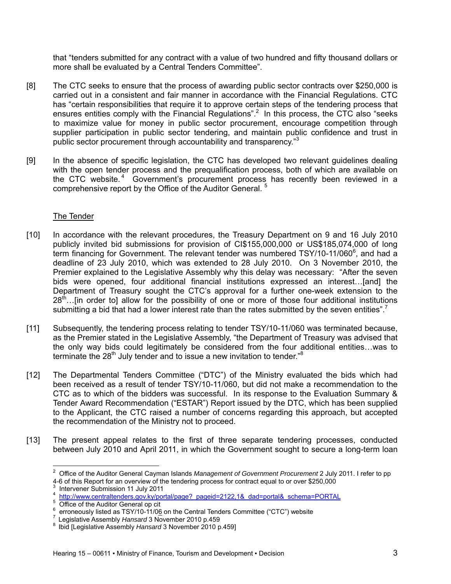that "tenders submitted for any contract with a value of two hundred and fifty thousand dollars or more shall be evaluated by a Central Tenders Committee".

- [8] The CTC seeks to ensure that the process of awarding public sector contracts over \$250,000 is carried out in a consistent and fair manner in accordance with the Financial Regulations. CTC has "certain responsibilities that require it to approve certain steps of the tendering process that ensures entities comply with the Financial Regulations".<sup>2</sup> In this process, the CTC also "seeks to maximize value for money in public sector procurement, encourage competition through supplier participation in public sector tendering, and maintain public confidence and trust in public sector procurement through accountability and transparency."<sup>3</sup>
- [9] In the absence of specific legislation, the CTC has developed two relevant guidelines dealing with the open tender process and the prequalification process, both of which are available on the CTC website.<sup>4</sup> Government's procurement process has recently been reviewed in a comprehensive report by the Office of the Auditor General. <sup>5</sup>

# The Tender

- [10] In accordance with the relevant procedures, the Treasury Department on 9 and 16 July 2010 publicly invited bid submissions for provision of CI\$155,000,000 or US\$185,074,000 of long term financing for Government. The relevant tender was numbered TSY/10-11/060 $^6$ , and had a deadline of 23 July 2010, which was extended to 28 July 2010. On 3 November 2010, the Premier explained to the Legislative Assembly why this delay was necessary: "After the seven bids were opened, four additional financial institutions expressed an interest…[and] the Department of Treasury sought the CTC's approval for a further one-week extension to the  $28<sup>th</sup>$ ... [in order to] allow for the possibility of one or more of those four additional institutions submitting a bid that had a lower interest rate than the rates submitted by the seven entities".<sup>7</sup>
- [11] Subsequently, the tendering process relating to tender TSY/10-11/060 was terminated because, as the Premier stated in the Legislative Assembly, "the Department of Treasury was advised that the only way bids could legitimately be considered from the four additional entities…was to terminate the  $28<sup>th</sup>$  July tender and to issue a new invitation to tender.<sup>"8</sup>
- [12] The Departmental Tenders Committee ("DTC") of the Ministry evaluated the bids which had been received as a result of tender TSY/10-11/060, but did not make a recommendation to the CTC as to which of the bidders was successful. In its response to the Evaluation Summary & Tender Award Recommendation ("ESTAR") Report issued by the DTC, which has been supplied to the Applicant, the CTC raised a number of concerns regarding this approach, but accepted the recommendation of the Ministry not to proceed.
- [13] The present appeal relates to the first of three separate tendering processes, conducted between July 2010 and April 2011, in which the Government sought to secure a long-term loan

 2 Office of the Auditor General Cayman Islands *Management of Government Procurement* 2 July 2011. I refer to pp 4-6 of this Report for an overview of the tendering process for contract equal to or over \$250,000 3

Intervener Submission 11 July 2011 4

<sup>&</sup>lt;sup>4</sup> http://www.centraltenders.gov.ky/portal/page? pageid=2122,1&\_dad=portal&\_schema=PORTAL 5<br>5 Office of the Auditor General op cit

Office of the Auditor General op cit<br>erroneously listed as TSY/10-11/06 on the Central Tenders Committee ("CTC") website 6

<sup>&</sup>lt;sup>7</sup> Legislative Assembly *Hansard* 3 November 2010 p.459<br><sup>8</sup> Ibid [Legislative Assembly *Hansard* 3 November 2010 p.459]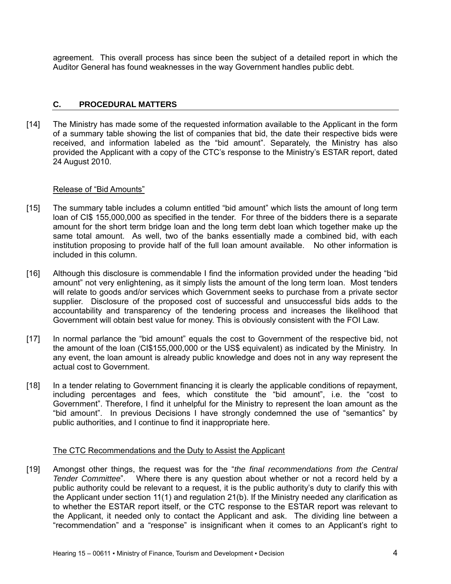agreement. This overall process has since been the subject of a detailed report in which the Auditor General has found weaknesses in the way Government handles public debt.

### **C. PROCEDURAL MATTERS**

[14] The Ministry has made some of the requested information available to the Applicant in the form of a summary table showing the list of companies that bid, the date their respective bids were received, and information labeled as the "bid amount". Separately, the Ministry has also provided the Applicant with a copy of the CTC's response to the Ministry's ESTAR report, dated 24 August 2010.

#### Release of "Bid Amounts"

- [15] The summary table includes a column entitled "bid amount" which lists the amount of long term loan of CI\$ 155,000,000 as specified in the tender. For three of the bidders there is a separate amount for the short term bridge loan and the long term debt loan which together make up the same total amount. As well, two of the banks essentially made a combined bid, with each institution proposing to provide half of the full loan amount available. No other information is included in this column.
- [16] Although this disclosure is commendable I find the information provided under the heading "bid amount" not very enlightening, as it simply lists the amount of the long term loan. Most tenders will relate to goods and/or services which Government seeks to purchase from a private sector supplier. Disclosure of the proposed cost of successful and unsuccessful bids adds to the accountability and transparency of the tendering process and increases the likelihood that Government will obtain best value for money. This is obviously consistent with the FOI Law.
- [17] In normal parlance the "bid amount" equals the cost to Government of the respective bid, not the amount of the loan (CI\$155,000,000 or the US\$ equivalent) as indicated by the Ministry. In any event, the loan amount is already public knowledge and does not in any way represent the actual cost to Government.
- [18] In a tender relating to Government financing it is clearly the applicable conditions of repayment, including percentages and fees, which constitute the "bid amount", i.e. the "cost to Government". Therefore, I find it unhelpful for the Ministry to represent the loan amount as the "bid amount". In previous Decisions I have strongly condemned the use of "semantics" by public authorities, and I continue to find it inappropriate here.

### The CTC Recommendations and the Duty to Assist the Applicant

[19] Amongst other things, the request was for the "*the final recommendations from the Central Tender Committee*". Where there is any question about whether or not a record held by a public authority could be relevant to a request, it is the public authority's duty to clarify this with the Applicant under section 11(1) and regulation 21(b). If the Ministry needed any clarification as to whether the ESTAR report itself, or the CTC response to the ESTAR report was relevant to the Applicant, it needed only to contact the Applicant and ask. The dividing line between a "recommendation" and a "response" is insignificant when it comes to an Applicant's right to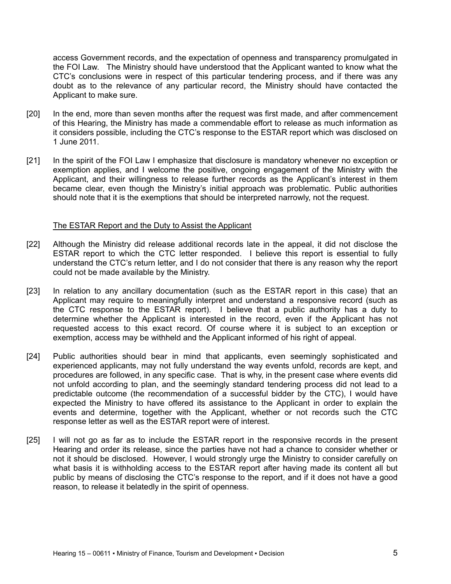access Government records, and the expectation of openness and transparency promulgated in the FOI Law. The Ministry should have understood that the Applicant wanted to know what the CTC's conclusions were in respect of this particular tendering process, and if there was any doubt as to the relevance of any particular record, the Ministry should have contacted the Applicant to make sure.

- [20] In the end, more than seven months after the request was first made, and after commencement of this Hearing, the Ministry has made a commendable effort to release as much information as it considers possible, including the CTC's response to the ESTAR report which was disclosed on 1 June 2011.
- [21] In the spirit of the FOI Law I emphasize that disclosure is mandatory whenever no exception or exemption applies, and I welcome the positive, ongoing engagement of the Ministry with the Applicant, and their willingness to release further records as the Applicant's interest in them became clear, even though the Ministry's initial approach was problematic. Public authorities should note that it is the exemptions that should be interpreted narrowly, not the request.

#### The ESTAR Report and the Duty to Assist the Applicant

- [22] Although the Ministry did release additional records late in the appeal, it did not disclose the ESTAR report to which the CTC letter responded. I believe this report is essential to fully understand the CTC's return letter, and I do not consider that there is any reason why the report could not be made available by the Ministry.
- [23] In relation to any ancillary documentation (such as the ESTAR report in this case) that an Applicant may require to meaningfully interpret and understand a responsive record (such as the CTC response to the ESTAR report). I believe that a public authority has a duty to determine whether the Applicant is interested in the record, even if the Applicant has not requested access to this exact record. Of course where it is subject to an exception or exemption, access may be withheld and the Applicant informed of his right of appeal.
- [24] Public authorities should bear in mind that applicants, even seemingly sophisticated and experienced applicants, may not fully understand the way events unfold, records are kept, and procedures are followed, in any specific case. That is why, in the present case where events did not unfold according to plan, and the seemingly standard tendering process did not lead to a predictable outcome (the recommendation of a successful bidder by the CTC), I would have expected the Ministry to have offered its assistance to the Applicant in order to explain the events and determine, together with the Applicant, whether or not records such the CTC response letter as well as the ESTAR report were of interest.
- [25] I will not go as far as to include the ESTAR report in the responsive records in the present Hearing and order its release, since the parties have not had a chance to consider whether or not it should be disclosed. However, I would strongly urge the Ministry to consider carefully on what basis it is withholding access to the ESTAR report after having made its content all but public by means of disclosing the CTC's response to the report, and if it does not have a good reason, to release it belatedly in the spirit of openness.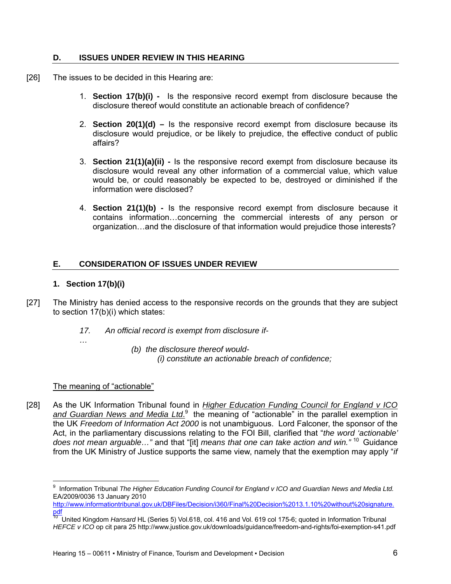### **D. ISSUES UNDER REVIEW IN THIS HEARING**

- [26] The issues to be decided in this Hearing are:
	- 1. **Section 17(b)(i)** Is the responsive record exempt from disclosure because the disclosure thereof would constitute an actionable breach of confidence?
	- 2. **Section 20(1)(d)** Is the responsive record exempt from disclosure because its disclosure would prejudice, or be likely to prejudice, the effective conduct of public affairs?
	- 3. **Section 21(1)(a)(ii)** Is the responsive record exempt from disclosure because its disclosure would reveal any other information of a commercial value, which value would be, or could reasonably be expected to be, destroyed or diminished if the information were disclosed?
	- 4. **Section 21(1)(b)** Is the responsive record exempt from disclosure because it contains information…concerning the commercial interests of any person or organization…and the disclosure of that information would prejudice those interests?

# **E. CONSIDERATION OF ISSUES UNDER REVIEW**

# **1. Section 17(b)(i)**

- [27] The Ministry has denied access to the responsive records on the grounds that they are subject to section 17(b)(i) which states:
	- *17. An official record is exempt from disclosure if-*
	- *…*
- *(b) the disclosure thereof would-* 
	- *(i) constitute an actionable breach of confidence;*

# The meaning of "actionable"

[28] As the UK Information Tribunal found in *Higher Education Funding Council for England v ICO*  and Guardian News and Media Ltd.<sup>9</sup> the meaning of "actionable" in the parallel exemption in the UK *Freedom of Information Act 2000* is not unambiguous. Lord Falconer, the sponsor of the Act, in the parliamentary discussions relating to the FOI Bill, clarified that "*the word 'actionable' does not mean arguable…"* and that "[it] *means that one can take action and win."* 10 Guidance from the UK Ministry of Justice supports the same view, namely that the exemption may apply "*if* 

http://www.informationtribunal.gov.uk/DBFiles/Decision/i360/Final%20Decision%2013.1.10%20without%20signature. pdf

 9 Information Tribunal *The Higher Education Funding Council for England v ICO and Guardian News and Media Ltd.* EA/2009/0036 13 January 2010

<sup>10</sup> United Kingdom *Hansard* HL (Series 5) Vol.618, col. 416 and Vol. 619 col 175-6; quoted in Information Tribunal *HEFCE v ICO* op cit para 25 http://www.justice.gov.uk/downloads/guidance/freedom-and-rights/foi-exemption-s41.pdf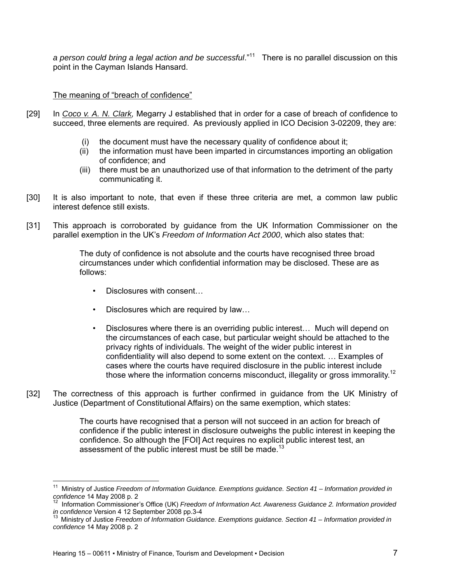*a person could bring a legal action and be successful*."11 There is no parallel discussion on this point in the Cayman Islands Hansard.

# The meaning of "breach of confidence"

- [29] In *Coco v. A. N. Clark,* Megarry J established that in order for a case of breach of confidence to succeed, three elements are required. As previously applied in ICO Decision 3-02209, they are:
	- (i) the document must have the necessary quality of confidence about it;
	- (ii) the information must have been imparted in circumstances importing an obligation of confidence; and
	- (iii) there must be an unauthorized use of that information to the detriment of the party communicating it.
- [30] It is also important to note, that even if these three criteria are met, a common law public interest defence still exists.
- [31] This approach is corroborated by guidance from the UK Information Commissioner on the parallel exemption in the UK's *Freedom of Information Act 2000*, which also states that:

The duty of confidence is not absolute and the courts have recognised three broad circumstances under which confidential information may be disclosed. These are as follows:

- Disclosures with consent…
- Disclosures which are required by law...
- Disclosures where there is an overriding public interest... Much will depend on the circumstances of each case, but particular weight should be attached to the privacy rights of individuals. The weight of the wider public interest in confidentiality will also depend to some extent on the context. … Examples of cases where the courts have required disclosure in the public interest include those where the information concerns misconduct, illegality or gross immorality.<sup>12</sup>
- [32] The correctness of this approach is further confirmed in guidance from the UK Ministry of Justice (Department of Constitutional Affairs) on the same exemption, which states:

The courts have recognised that a person will not succeed in an action for breach of confidence if the public interest in disclosure outweighs the public interest in keeping the confidence. So although the [FOI] Act requires no explicit public interest test, an assessment of the public interest must be still be made.<sup>13</sup>

<sup>&</sup>lt;sup>11</sup> Ministry of Justice *Freedom of Information Guidance. Exemptions guidance. Section 41 – Information provided in* 

confidence 14 May 2008 p. 2<br><sup>12</sup> Information Commissioner's Office (UK) *Freedom of Information Act. Awareness Guidance 2. Information provided*<br>in confidence Version 4 12 September 2008 pp.3-4

*Ministry of Justice Freedom of Information Guidance. Exemptions guidance. Section 41 – Information provided in confidence* 14 May 2008 p. 2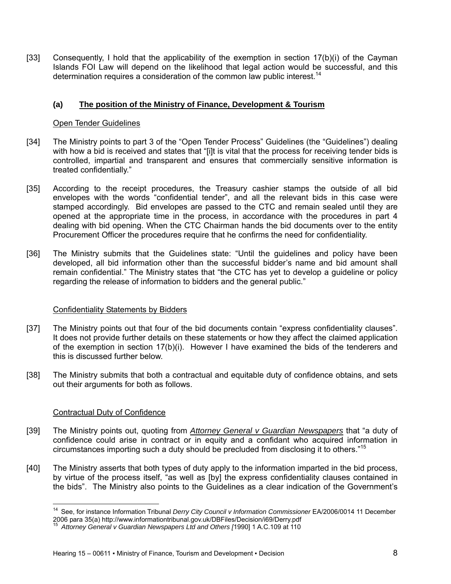[33] Consequently, I hold that the applicability of the exemption in section  $17(b)(i)$  of the Cayman Islands FOI Law will depend on the likelihood that legal action would be successful, and this determination requires a consideration of the common law public interest.<sup>14</sup>

# **(a) The position of the Ministry of Finance, Development & Tourism**

#### Open Tender Guidelines

- [34] The Ministry points to part 3 of the "Open Tender Process" Guidelines (the "Guidelines") dealing with how a bid is received and states that "[i]t is vital that the process for receiving tender bids is controlled, impartial and transparent and ensures that commercially sensitive information is treated confidentially."
- [35] According to the receipt procedures, the Treasury cashier stamps the outside of all bid envelopes with the words "confidential tender", and all the relevant bids in this case were stamped accordingly. Bid envelopes are passed to the CTC and remain sealed until they are opened at the appropriate time in the process, in accordance with the procedures in part 4 dealing with bid opening. When the CTC Chairman hands the bid documents over to the entity Procurement Officer the procedures require that he confirms the need for confidentiality.
- [36] The Ministry submits that the Guidelines state: "Until the guidelines and policy have been developed, all bid information other than the successful bidder's name and bid amount shall remain confidential." The Ministry states that "the CTC has yet to develop a guideline or policy regarding the release of information to bidders and the general public."

#### Confidentiality Statements by Bidders

- [37] The Ministry points out that four of the bid documents contain "express confidentiality clauses". It does not provide further details on these statements or how they affect the claimed application of the exemption in section 17(b)(i). However I have examined the bids of the tenderers and this is discussed further below.
- [38] The Ministry submits that both a contractual and equitable duty of confidence obtains, and sets out their arguments for both as follows.

#### Contractual Duty of Confidence

- [39] The Ministry points out, quoting from *Attorney General v Guardian Newspapers* that "a duty of confidence could arise in contract or in equity and a confidant who acquired information in circumstances importing such a duty should be precluded from disclosing it to others."15
- [40] The Ministry asserts that both types of duty apply to the information imparted in the bid process, by virtue of the process itself, "as well as [by] the express confidentiality clauses contained in the bids". The Ministry also points to the Guidelines as a clear indication of the Government's

<sup>14</sup> See, for instance Information Tribunal *Derry City Council v Information Commissioner* EA/2006/0014 11 December 2006 para 35(a) http://www.informationtribunal.gov.uk/DBFiles/Decision/i69/Derry.pdf 15 *Attorney General v Guardian Newspapers Ltd and Others [*1990] 1 A.C.109 at 110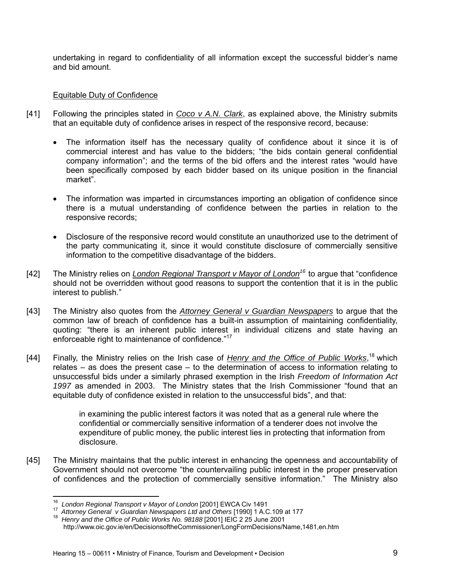undertaking in regard to confidentiality of all information except the successful bidder's name and bid amount.

# Equitable Duty of Confidence

- [41] Following the principles stated in *Coco v A.N. Clark*, as explained above, the Ministry submits that an equitable duty of confidence arises in respect of the responsive record, because:
	- The information itself has the necessary quality of confidence about it since it is of commercial interest and has value to the bidders; "the bids contain general confidential company information"; and the terms of the bid offers and the interest rates "would have been specifically composed by each bidder based on its unique position in the financial market".
	- The information was imparted in circumstances importing an obligation of confidence since there is a mutual understanding of confidence between the parties in relation to the responsive records;
	- Disclosure of the responsive record would constitute an unauthorized use to the detriment of the party communicating it, since it would constitute disclosure of commercially sensitive information to the competitive disadvantage of the bidders.
- [42] The Ministry relies on *London Regional Transport v Mayor of London16* to argue that "confidence should not be overridden without good reasons to support the contention that it is in the public interest to publish."
- [43] The Ministry also quotes from the *Attorney General v Guardian Newspapers* to argue that the common law of breach of confidence has a built-in assumption of maintaining confidentiality, quoting: "there is an inherent public interest in individual citizens and state having an enforceable right to maintenance of confidence."17
- [44] Finally, the Ministry relies on the Irish case of *Henry and the Office of Public Works*, 18 which relates – as does the present case – to the determination of access to information relating to unsuccessful bids under a similarly phrased exemption in the Irish *Freedom of Information Act 1997* as amended in 2003. The Ministry states that the Irish Commissioner "found that an equitable duty of confidence existed in relation to the unsuccessful bids", and that:

in examining the public interest factors it was noted that as a general rule where the confidential or commercially sensitive information of a tenderer does not involve the expenditure of public money, the public interest lies in protecting that information from disclosure.

[45] The Ministry maintains that the public interest in enhancing the openness and accountability of Government should not overcome "the countervailing public interest in the proper preservation of confidences and the protection of commercially sensitive information." The Ministry also

<sup>&</sup>lt;sup>16</sup> London Regional Transport v Mayor of London [2001] EWCA Civ 1491

<sup>17</sup> Attorney General v Guardian Newspapers Ltd and Others [1990] 1 A.C.109 at 177<br><sup>18</sup> Henry and the Office of Public Works No. 98188 [2001] IEIC 2 25 June 2001 http://www.oic.gov.ie/en/DecisionsoftheCommissioner/LongFormDecisions/Name,1481,en.htm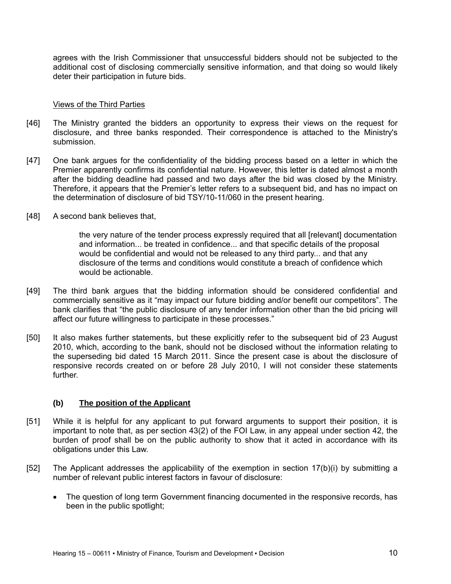agrees with the Irish Commissioner that unsuccessful bidders should not be subjected to the additional cost of disclosing commercially sensitive information, and that doing so would likely deter their participation in future bids.

### Views of the Third Parties

- [46] The Ministry granted the bidders an opportunity to express their views on the request for disclosure, and three banks responded. Their correspondence is attached to the Ministry's submission.
- [47] One bank argues for the confidentiality of the bidding process based on a letter in which the Premier apparently confirms its confidential nature. However, this letter is dated almost a month after the bidding deadline had passed and two days after the bid was closed by the Ministry. Therefore, it appears that the Premier's letter refers to a subsequent bid, and has no impact on the determination of disclosure of bid TSY/10-11/060 in the present hearing.
- [48] A second bank believes that,

the very nature of the tender process expressly required that all [relevant] documentation and information... be treated in confidence... and that specific details of the proposal would be confidential and would not be released to any third party... and that any disclosure of the terms and conditions would constitute a breach of confidence which would be actionable.

- [49] The third bank argues that the bidding information should be considered confidential and commercially sensitive as it "may impact our future bidding and/or benefit our competitors". The bank clarifies that "the public disclosure of any tender information other than the bid pricing will affect our future willingness to participate in these processes."
- [50] It also makes further statements, but these explicitly refer to the subsequent bid of 23 August 2010, which, according to the bank, should not be disclosed without the information relating to the superseding bid dated 15 March 2011. Since the present case is about the disclosure of responsive records created on or before 28 July 2010, I will not consider these statements further.

# **(b) The position of the Applicant**

- [51] While it is helpful for any applicant to put forward arguments to support their position, it is important to note that, as per section 43(2) of the FOI Law, in any appeal under section 42, the burden of proof shall be on the public authority to show that it acted in accordance with its obligations under this Law.
- [52] The Applicant addresses the applicability of the exemption in section 17(b)(i) by submitting a number of relevant public interest factors in favour of disclosure:
	- The question of long term Government financing documented in the responsive records, has been in the public spotlight;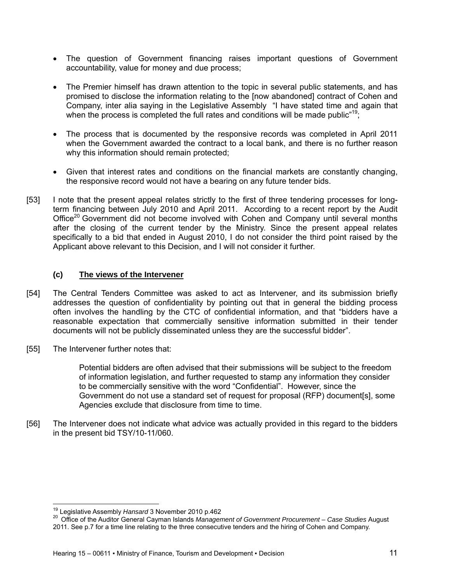- The question of Government financing raises important questions of Government accountability, value for money and due process;
- The Premier himself has drawn attention to the topic in several public statements, and has promised to disclose the information relating to the [now abandoned] contract of Cohen and Company, inter alia saying in the Legislative Assembly "I have stated time and again that when the process is completed the full rates and conditions will be made public"<sup>19</sup>;
- The process that is documented by the responsive records was completed in April 2011 when the Government awarded the contract to a local bank, and there is no further reason why this information should remain protected;
- Given that interest rates and conditions on the financial markets are constantly changing, the responsive record would not have a bearing on any future tender bids.
- [53] I note that the present appeal relates strictly to the first of three tendering processes for longterm financing between July 2010 and April 2011. According to a recent report by the Audit Office<sup>20</sup> Government did not become involved with Cohen and Company until several months after the closing of the current tender by the Ministry. Since the present appeal relates specifically to a bid that ended in August 2010, I do not consider the third point raised by the Applicant above relevant to this Decision, and I will not consider it further.

# **(c) The views of the Intervener**

- [54] The Central Tenders Committee was asked to act as Intervener, and its submission briefly addresses the question of confidentiality by pointing out that in general the bidding process often involves the handling by the CTC of confidential information, and that "bidders have a reasonable expectation that commercially sensitive information submitted in their tender documents will not be publicly disseminated unless they are the successful bidder".
- [55] The Intervener further notes that:

Potential bidders are often advised that their submissions will be subject to the freedom of information legislation, and further requested to stamp any information they consider to be commercially sensitive with the word "Confidential". However, since the Government do not use a standard set of request for proposal (RFP) document[s], some Agencies exclude that disclosure from time to time.

[56] The Intervener does not indicate what advice was actually provided in this regard to the bidders in the present bid TSY/10-11/060.

<sup>&</sup>lt;sup>19</sup> Legislative Assembly Hansard 3 November 2010 p.462

<sup>&</sup>lt;sup>20</sup> Office of the Auditor General Cayman Islands Management of Government Procurement – Case Studies August 2011. See p.7 for a time line relating to the three consecutive tenders and the hiring of Cohen and Company.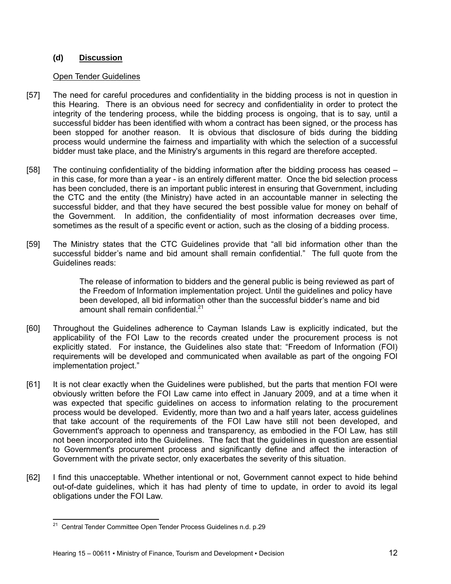# **(d) Discussion**

### Open Tender Guidelines

- [57] The need for careful procedures and confidentiality in the bidding process is not in question in this Hearing. There is an obvious need for secrecy and confidentiality in order to protect the integrity of the tendering process, while the bidding process is ongoing, that is to say, until a successful bidder has been identified with whom a contract has been signed, or the process has been stopped for another reason. It is obvious that disclosure of bids during the bidding process would undermine the fairness and impartiality with which the selection of a successful bidder must take place, and the Ministry's arguments in this regard are therefore accepted.
- [58] The continuing confidentiality of the bidding information after the bidding process has ceased in this case, for more than a year - is an entirely different matter. Once the bid selection process has been concluded, there is an important public interest in ensuring that Government, including the CTC and the entity (the Ministry) have acted in an accountable manner in selecting the successful bidder, and that they have secured the best possible value for money on behalf of the Government. In addition, the confidentiality of most information decreases over time, sometimes as the result of a specific event or action, such as the closing of a bidding process.
- [59] The Ministry states that the CTC Guidelines provide that "all bid information other than the successful bidder's name and bid amount shall remain confidential." The full quote from the Guidelines reads:

The release of information to bidders and the general public is being reviewed as part of the Freedom of Information implementation project. Until the guidelines and policy have been developed, all bid information other than the successful bidder's name and bid amount shall remain confidential.<sup>21</sup>

- [60] Throughout the Guidelines adherence to Cayman Islands Law is explicitly indicated, but the applicability of the FOI Law to the records created under the procurement process is not explicitly stated. For instance, the Guidelines also state that: "Freedom of Information (FOI) requirements will be developed and communicated when available as part of the ongoing FOI implementation project."
- [61] It is not clear exactly when the Guidelines were published, but the parts that mention FOI were obviously written before the FOI Law came into effect in January 2009, and at a time when it was expected that specific guidelines on access to information relating to the procurement process would be developed. Evidently, more than two and a half years later, access guidelines that take account of the requirements of the FOI Law have still not been developed, and Government's approach to openness and transparency, as embodied in the FOI Law, has still not been incorporated into the Guidelines. The fact that the guidelines in question are essential to Government's procurement process and significantly define and affect the interaction of Government with the private sector, only exacerbates the severity of this situation.
- [62] I find this unacceptable. Whether intentional or not, Government cannot expect to hide behind out-of-date guidelines, which it has had plenty of time to update, in order to avoid its legal obligations under the FOI Law.

 <sup>21</sup> Central Tender Committee Open Tender Process Guidelines n.d. p.29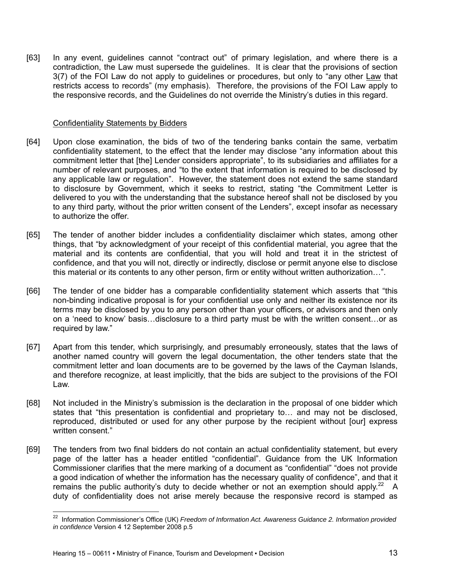[63] In any event, guidelines cannot "contract out" of primary legislation, and where there is a contradiction, the Law must supersede the guidelines. It is clear that the provisions of section 3(7) of the FOI Law do not apply to guidelines or procedures, but only to "any other Law that restricts access to records" (my emphasis). Therefore, the provisions of the FOI Law apply to the responsive records, and the Guidelines do not override the Ministry's duties in this regard.

#### Confidentiality Statements by Bidders

- [64] Upon close examination, the bids of two of the tendering banks contain the same, verbatim confidentiality statement, to the effect that the lender may disclose "any information about this commitment letter that [the] Lender considers appropriate", to its subsidiaries and affiliates for a number of relevant purposes, and "to the extent that information is required to be disclosed by any applicable law or regulation". However, the statement does not extend the same standard to disclosure by Government, which it seeks to restrict, stating "the Commitment Letter is delivered to you with the understanding that the substance hereof shall not be disclosed by you to any third party, without the prior written consent of the Lenders", except insofar as necessary to authorize the offer.
- [65] The tender of another bidder includes a confidentiality disclaimer which states, among other things, that "by acknowledgment of your receipt of this confidential material, you agree that the material and its contents are confidential, that you will hold and treat it in the strictest of confidence, and that you will not, directly or indirectly, disclose or permit anyone else to disclose this material or its contents to any other person, firm or entity without written authorization…".
- [66] The tender of one bidder has a comparable confidentiality statement which asserts that "this non-binding indicative proposal is for your confidential use only and neither its existence nor its terms may be disclosed by you to any person other than your officers, or advisors and then only on a 'need to know' basis…disclosure to a third party must be with the written consent…or as required by law."
- [67] Apart from this tender, which surprisingly, and presumably erroneously, states that the laws of another named country will govern the legal documentation, the other tenders state that the commitment letter and loan documents are to be governed by the laws of the Cayman Islands, and therefore recognize, at least implicitly, that the bids are subject to the provisions of the FOI Law.
- [68] Not included in the Ministry's submission is the declaration in the proposal of one bidder which states that "this presentation is confidential and proprietary to… and may not be disclosed, reproduced, distributed or used for any other purpose by the recipient without [our] express written consent."
- [69] The tenders from two final bidders do not contain an actual confidentiality statement, but every page of the latter has a header entitled "confidential". Guidance from the UK Information Commissioner clarifies that the mere marking of a document as "confidential" "does not provide a good indication of whether the information has the necessary quality of confidence", and that it remains the public authority's duty to decide whether or not an exemption should apply.<sup>22</sup> A duty of confidentiality does not arise merely because the responsive record is stamped as

<sup>22</sup> Information Commissioner's Office (UK) *Freedom of Information Act. Awareness Guidance 2. Information provided in confidence* Version 4 12 September 2008 p.5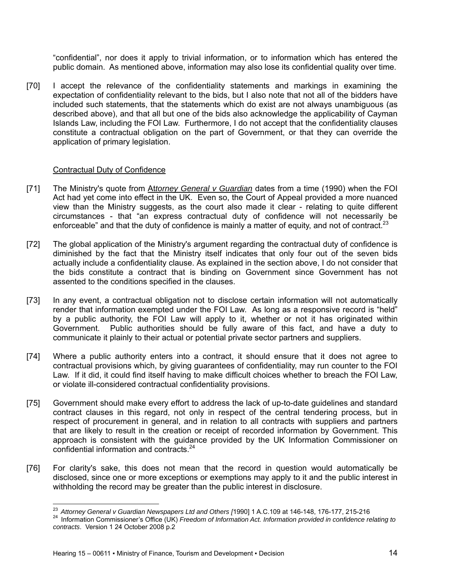"confidential", nor does it apply to trivial information, or to information which has entered the public domain. As mentioned above, information may also lose its confidential quality over time.

[70] I accept the relevance of the confidentiality statements and markings in examining the expectation of confidentiality relevant to the bids, but I also note that not all of the bidders have included such statements, that the statements which do exist are not always unambiguous (as described above), and that all but one of the bids also acknowledge the applicability of Cayman Islands Law, including the FOI Law. Furthermore, I do not accept that the confidentiality clauses constitute a contractual obligation on the part of Government, or that they can override the application of primary legislation.

### Contractual Duty of Confidence

- [71] The Ministry's quote from At*torney General v Guardian* dates from a time (1990) when the FOI Act had yet come into effect in the UK. Even so, the Court of Appeal provided a more nuanced view than the Ministry suggests, as the court also made it clear - relating to quite different circumstances - that "an express contractual duty of confidence will not necessarily be enforceable" and that the duty of confidence is mainly a matter of equity, and not of contract.<sup>23</sup>
- [72] The global application of the Ministry's argument regarding the contractual duty of confidence is diminished by the fact that the Ministry itself indicates that only four out of the seven bids actually include a confidentiality clause. As explained in the section above, I do not consider that the bids constitute a contract that is binding on Government since Government has not assented to the conditions specified in the clauses.
- [73] In any event, a contractual obligation not to disclose certain information will not automatically render that information exempted under the FOI Law. As long as a responsive record is "held" by a public authority, the FOI Law will apply to it, whether or not it has originated within Government. Public authorities should be fully aware of this fact, and have a duty to communicate it plainly to their actual or potential private sector partners and suppliers.
- [74] Where a public authority enters into a contract, it should ensure that it does not agree to contractual provisions which, by giving guarantees of confidentiality, may run counter to the FOI Law. If it did, it could find itself having to make difficult choices whether to breach the FOI Law, or violate ill-considered contractual confidentiality provisions.
- [75] Government should make every effort to address the lack of up-to-date guidelines and standard contract clauses in this regard, not only in respect of the central tendering process, but in respect of procurement in general, and in relation to all contracts with suppliers and partners that are likely to result in the creation or receipt of recorded information by Government. This approach is consistent with the guidance provided by the UK Information Commissioner on confidential information and contracts.<sup>24</sup>
- [76] For clarity's sake, this does not mean that the record in question would automatically be disclosed, since one or more exceptions or exemptions may apply to it and the public interest in withholding the record may be greater than the public interest in disclosure.

<sup>&</sup>lt;sup>23</sup> Attorney General v Guardian Newspapers Ltd and Others [1990] 1 A.C.109 at 146-148, 176-177, 215-216

<sup>&</sup>lt;sup>24</sup> Information Commissioner's Office (UK) Freedom of Information Act. Information provided in confidence relating to *contracts*. Version 1 24 October 2008 p.2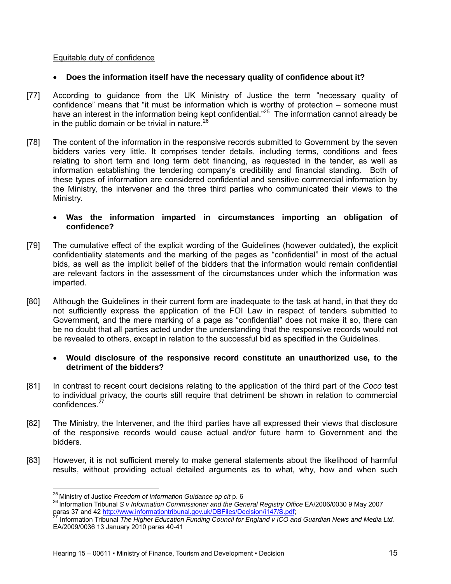# Equitable duty of confidence

### **Does the information itself have the necessary quality of confidence about it?**

- [77] According to guidance from the UK Ministry of Justice the term "necessary quality of confidence" means that "it must be information which is worthy of protection – someone must have an interest in the information being kept confidential."<sup>25</sup> The information cannot already be in the public domain or be trivial in nature. $26$
- [78] The content of the information in the responsive records submitted to Government by the seven bidders varies very little. It comprises tender details, including terms, conditions and fees relating to short term and long term debt financing, as requested in the tender, as well as information establishing the tendering company's credibility and financial standing. Both of these types of information are considered confidential and sensitive commercial information by the Ministry, the intervener and the three third parties who communicated their views to the Ministry.
	- **Was the information imparted in circumstances importing an obligation of confidence?**
- [79] The cumulative effect of the explicit wording of the Guidelines (however outdated), the explicit confidentiality statements and the marking of the pages as "confidential" in most of the actual bids, as well as the implicit belief of the bidders that the information would remain confidential are relevant factors in the assessment of the circumstances under which the information was imparted.
- [80] Although the Guidelines in their current form are inadequate to the task at hand, in that they do not sufficiently express the application of the FOI Law in respect of tenders submitted to Government, and the mere marking of a page as "confidential" does not make it so, there can be no doubt that all parties acted under the understanding that the responsive records would not be revealed to others, except in relation to the successful bid as specified in the Guidelines.

### **Would disclosure of the responsive record constitute an unauthorized use, to the detriment of the bidders?**

- [81] In contrast to recent court decisions relating to the application of the third part of the *Coco* test to individual privacy, the courts still require that detriment be shown in relation to commercial confidences.<sup>27</sup>
- [82] The Ministry, the Intervener, and the third parties have all expressed their views that disclosure of the responsive records would cause actual and/or future harm to Government and the bidders.
- [83] However, it is not sufficient merely to make general statements about the likelihood of harmful results, without providing actual detailed arguments as to what, why, how and when such

<sup>&</sup>lt;sup>25</sup> Ministry of Justice Freedom of Information Guidance op cit p. 6

<sup>&</sup>lt;sup>26</sup> Information Tribunal *S v Information Commissioner and the General Registry Office EA/2006/0030 9 May 2007*<br>paras 37 and 42 http://www.informationtribunal.gov.uk/DBFiles/Decision/i147/S.pdf;<br><sup>27</sup> Information Tribural

Information Tribunal The Higher Education Funding Council for England v ICO and Guardian News and Media Ltd. EA/2009/0036 13 January 2010 paras 40-41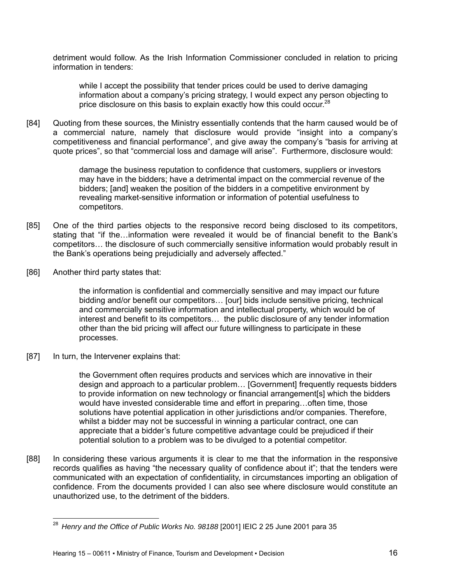detriment would follow. As the Irish Information Commissioner concluded in relation to pricing information in tenders:

while I accept the possibility that tender prices could be used to derive damaging information about a company's pricing strategy, I would expect any person objecting to price disclosure on this basis to explain exactly how this could occur.<sup>28</sup>

[84] Quoting from these sources, the Ministry essentially contends that the harm caused would be of a commercial nature, namely that disclosure would provide "insight into a company's competitiveness and financial performance", and give away the company's "basis for arriving at quote prices", so that "commercial loss and damage will arise". Furthermore, disclosure would:

> damage the business reputation to confidence that customers, suppliers or investors may have in the bidders; have a detrimental impact on the commercial revenue of the bidders; [and] weaken the position of the bidders in a competitive environment by revealing market-sensitive information or information of potential usefulness to competitors.

- [85] One of the third parties objects to the responsive record being disclosed to its competitors, stating that "if the…information were revealed it would be of financial benefit to the Bank's competitors… the disclosure of such commercially sensitive information would probably result in the Bank's operations being prejudicially and adversely affected."
- [86] Another third party states that:

the information is confidential and commercially sensitive and may impact our future bidding and/or benefit our competitors… [our] bids include sensitive pricing, technical and commercially sensitive information and intellectual property, which would be of interest and benefit to its competitors… the public disclosure of any tender information other than the bid pricing will affect our future willingness to participate in these processes.

[87] In turn, the Intervener explains that:

the Government often requires products and services which are innovative in their design and approach to a particular problem… [Government] frequently requests bidders to provide information on new technology or financial arrangement[s] which the bidders would have invested considerable time and effort in preparing…often time, those solutions have potential application in other jurisdictions and/or companies. Therefore, whilst a bidder may not be successful in winning a particular contract, one can appreciate that a bidder's future competitive advantage could be prejudiced if their potential solution to a problem was to be divulged to a potential competitor.

[88] In considering these various arguments it is clear to me that the information in the responsive records qualifies as having "the necessary quality of confidence about it"; that the tenders were communicated with an expectation of confidentiality, in circumstances importing an obligation of confidence. From the documents provided I can also see where disclosure would constitute an unauthorized use, to the detriment of the bidders.

 <sup>28</sup> Henry and the Office of Public Works No. 98188 [2001] IEIC 2 25 June 2001 para 35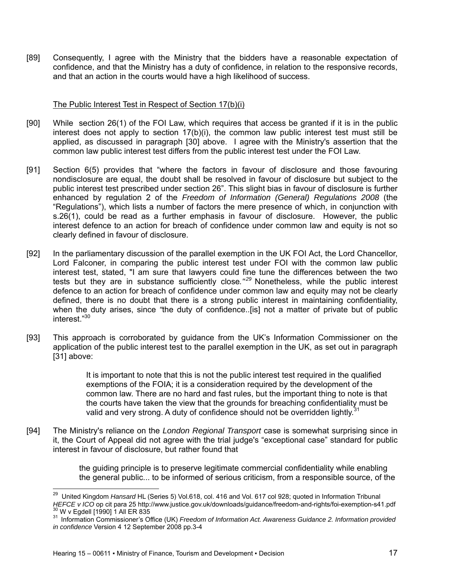[89] Consequently, I agree with the Ministry that the bidders have a reasonable expectation of confidence, and that the Ministry has a duty of confidence, in relation to the responsive records, and that an action in the courts would have a high likelihood of success.

### The Public Interest Test in Respect of Section 17(b)(i)

- [90] While section 26(1) of the FOI Law, which requires that access be granted if it is in the public interest does not apply to section 17(b)(i), the common law public interest test must still be applied, as discussed in paragraph [30] above. I agree with the Ministry's assertion that the common law public interest test differs from the public interest test under the FOI Law.
- [91] Section 6(5) provides that "where the factors in favour of disclosure and those favouring nondisclosure are equal, the doubt shall be resolved in favour of disclosure but subject to the public interest test prescribed under section 26". This slight bias in favour of disclosure is further enhanced by regulation 2 of the *Freedom of Information (General) Regulations 2008* (the "Regulations"), which lists a number of factors the mere presence of which, in conjunction with s.26(1), could be read as a further emphasis in favour of disclosure. However, the public interest defence to an action for breach of confidence under common law and equity is not so clearly defined in favour of disclosure.
- [92] In the parliamentary discussion of the parallel exemption in the UK FOI Act, the Lord Chancellor, Lord Falconer, in comparing the public interest test under FOI with the common law public interest test, stated, "I am sure that lawyers could fine tune the differences between the two tests but they are in substance sufficiently close.<sup>"29</sup> Nonetheless, while the public interest defence to an action for breach of confidence under common law and equity may not be clearly defined, there is no doubt that there is a strong public interest in maintaining confidentiality, when the duty arises, since *"*the duty of confidence..[is] not a matter of private but of public interest."30
- [93] This approach is corroborated by guidance from the UK's Information Commissioner on the application of the public interest test to the parallel exemption in the UK, as set out in paragraph [31] above:

It is important to note that this is not the public interest test required in the qualified exemptions of the FOIA; it is a consideration required by the development of the common law. There are no hard and fast rules, but the important thing to note is that the courts have taken the view that the grounds for breaching confidentiality must be valid and very strong. A duty of confidence should not be overridden lightly.<sup>31</sup>

[94] The Ministry's reliance on the *London Regional Transport* case is somewhat surprising since in it, the Court of Appeal did not agree with the trial judge's "exceptional case" standard for public interest in favour of disclosure, but rather found that

> the guiding principle is to preserve legitimate commercial confidentiality while enabling the general public... to be informed of serious criticism, from a responsible source, of the

 29 United Kingdom *Hansard* HL (Series 5) Vol.618, col. 416 and Vol. 617 col 928; quoted in Information Tribunal HEFCE v ICO op cit para 25 http://www.justice.gov.uk/downloads/guidance/freedom-and-rights/foi-exemption-s41.pdf<br><sup>30</sup> W v Egdell [1990] 1 All ER 835<br><sup>31</sup> Information Commissioner's Office (UK) Freedom of Information Act. A

*in confidence* Version 4 12 September 2008 pp.3-4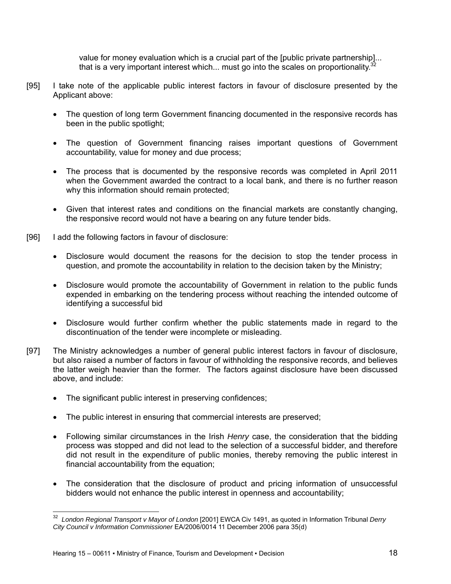value for money evaluation which is a crucial part of the [public private partnership]... that is a very important interest which... must go into the scales on proportionality.<sup>3</sup>

- [95] I take note of the applicable public interest factors in favour of disclosure presented by the Applicant above:
	- The question of long term Government financing documented in the responsive records has been in the public spotlight;
	- The question of Government financing raises important questions of Government accountability, value for money and due process;
	- The process that is documented by the responsive records was completed in April 2011 when the Government awarded the contract to a local bank, and there is no further reason why this information should remain protected;
	- Given that interest rates and conditions on the financial markets are constantly changing, the responsive record would not have a bearing on any future tender bids.
- [96] I add the following factors in favour of disclosure:
	- Disclosure would document the reasons for the decision to stop the tender process in question, and promote the accountability in relation to the decision taken by the Ministry;
	- Disclosure would promote the accountability of Government in relation to the public funds expended in embarking on the tendering process without reaching the intended outcome of identifying a successful bid
	- Disclosure would further confirm whether the public statements made in regard to the discontinuation of the tender were incomplete or misleading.
- [97] The Ministry acknowledges a number of general public interest factors in favour of disclosure, but also raised a number of factors in favour of withholding the responsive records, and believes the latter weigh heavier than the former. The factors against disclosure have been discussed above, and include:
	- The significant public interest in preserving confidences;
	- The public interest in ensuring that commercial interests are preserved;
	- Following similar circumstances in the Irish *Henry* case, the consideration that the bidding process was stopped and did not lead to the selection of a successful bidder, and therefore did not result in the expenditure of public monies, thereby removing the public interest in financial accountability from the equation;
	- The consideration that the disclosure of product and pricing information of unsuccessful bidders would not enhance the public interest in openness and accountability;

<sup>32</sup> *London Regional Transport v Mayor of London* [2001] EWCA Civ 1491, as quoted in Information Tribunal *Derry City Council v Information Commissioner* EA/2006/0014 11 December 2006 para 35(d)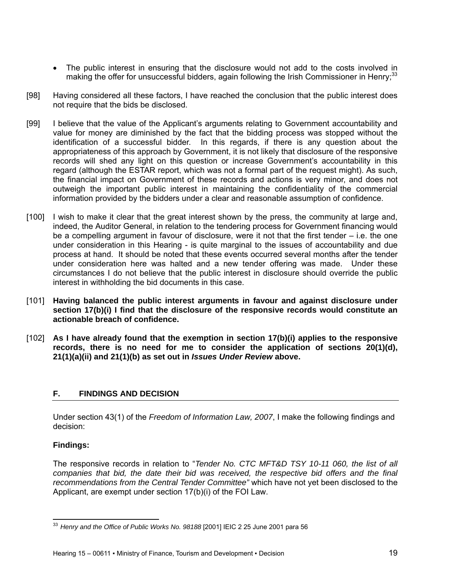- The public interest in ensuring that the disclosure would not add to the costs involved in making the offer for unsuccessful bidders, again following the Irish Commissioner in Henry;<sup>33</sup>
- [98] Having considered all these factors, I have reached the conclusion that the public interest does not require that the bids be disclosed.
- [99] I believe that the value of the Applicant's arguments relating to Government accountability and value for money are diminished by the fact that the bidding process was stopped without the identification of a successful bidder. In this regards, if there is any question about the appropriateness of this approach by Government, it is not likely that disclosure of the responsive records will shed any light on this question or increase Government's accountability in this regard (although the ESTAR report, which was not a formal part of the request might). As such, the financial impact on Government of these records and actions is very minor, and does not outweigh the important public interest in maintaining the confidentiality of the commercial information provided by the bidders under a clear and reasonable assumption of confidence.
- [100] I wish to make it clear that the great interest shown by the press, the community at large and, indeed, the Auditor General, in relation to the tendering process for Government financing would be a compelling argument in favour of disclosure, were it not that the first tender – i.e. the one under consideration in this Hearing - is quite marginal to the issues of accountability and due process at hand. It should be noted that these events occurred several months after the tender under consideration here was halted and a new tender offering was made. Under these circumstances I do not believe that the public interest in disclosure should override the public interest in withholding the bid documents in this case.
- [101] **Having balanced the public interest arguments in favour and against disclosure under section 17(b)(i) I find that the disclosure of the responsive records would constitute an actionable breach of confidence.**
- [102] **As I have already found that the exemption in section 17(b)(i) applies to the responsive records, there is no need for me to consider the application of sections 20(1)(d), 21(1)(a)(ii) and 21(1)(b) as set out in** *Issues Under Review* **above.**

# **F. FINDINGS AND DECISION**

Under section 43(1) of the *Freedom of Information Law, 2007*, I make the following findings and decision:

# **Findings:**

The responsive records in relation to "*Tender No. CTC MFT&D TSY 10-11 060, the list of all companies that bid, the date their bid was received, the respective bid offers and the final recommendations from the Central Tender Committee"* which have not yet been disclosed to the Applicant, are exempt under section 17(b)(i) of the FOI Law.

 <sup>33</sup>*Henry and the Office of Public Works No. 98188* [2001] IEIC 2 25 June 2001 para 56